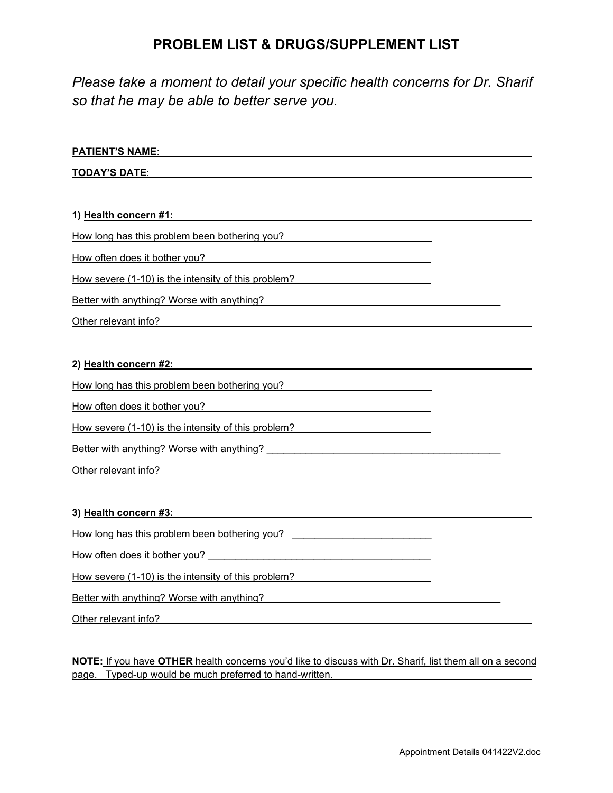## **PROBLEM LIST & DRUGS/SUPPLEMENT LIST**

*Please take a moment to detail your specific health concerns for Dr. Sharif so that he may be able to better serve you.*

| PAILENT'S NAME:                                     |  |
|-----------------------------------------------------|--|
| <b>TODAY'S DATE:</b>                                |  |
|                                                     |  |
| 1) Health concern #1:                               |  |
| How long has this problem been bothering you?       |  |
| How often does it bother you?                       |  |
| How severe (1-10) is the intensity of this problem? |  |
| Better with anything? Worse with anything?          |  |
| Other relevant info?                                |  |
|                                                     |  |

#### **2) Health concern #2:**

**PATIENT'S NAME**:

How long has this problem been bothering you?

How often does it bother you? The state of the state of the state of the state of the state of the state of the state of the state of the state of the state of the state of the state of the state of the state of the state

How severe (1-10) is the intensity of this problem?

Better with anything? Worse with anything? \_\_\_\_\_\_\_\_\_\_\_\_\_\_\_\_\_\_\_\_\_\_\_\_\_\_\_\_\_\_\_\_\_\_\_\_\_\_\_\_\_\_

Other relevant info?

#### **3) Health concern #3:**

How long has this problem been bothering you?

How often does it bother you?

How severe (1-10) is the intensity of this problem?

Better with anything? Worse with anything? \_\_\_\_\_\_\_\_\_\_\_\_\_\_\_\_\_\_\_\_\_\_\_\_\_\_\_\_\_\_\_\_\_\_\_\_\_\_\_\_\_\_

Other relevant info?

**NOTE:** If you have **OTHER** health concerns you'd like to discuss with Dr. Sharif, list them all on a second page. Typed-up would be much preferred to hand-written.